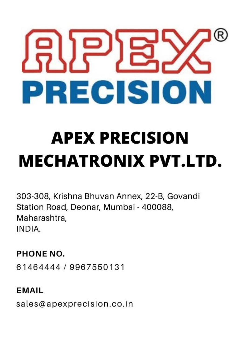

# **APEX PRECISION MECHATRONIX PVT.LTD.**

303-308, Krishna Bhuvan Annex, 22-B, Govandi Station Road, Deonar, Mumbai - 400088, Maharashtra, INDIA.

PHONE NO.

61464444 / 9967550131

**EMAIL** sales@apexprecision.co.in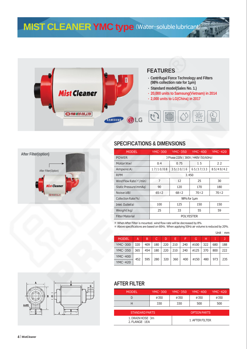**MIST CLEANER YMC type** (Water-solublelubricant)







| <b>MODEL</b>                  | YMC-300                              | <b>YMC-350</b> | YMC-400     |             |  |  |  |  |  |
|-------------------------------|--------------------------------------|----------------|-------------|-------------|--|--|--|--|--|
| <b>POWER</b>                  | 3 Phase 220V / 380V / 440V (50/60Hz) |                |             |             |  |  |  |  |  |
| Motor(Kw)                     | 0.4                                  | 1.5<br>0.75    |             |             |  |  |  |  |  |
| Ampere(A)                     | 1.7/1.0/0.8                          | 3.5/2.0/1.6    | 6.5/3.7/3.3 | 8.5/4.9/4.2 |  |  |  |  |  |
| <b>RPM</b>                    | 3.450                                |                |             |             |  |  |  |  |  |
| Wind Flow Rate( $m'/min$ )    | 7                                    | 12             | 25          | 30          |  |  |  |  |  |
| Static Pressure(mmAg)         | 90                                   | 120            | 170         | 180         |  |  |  |  |  |
| Noise(dB)                     | $65 \pm 2$                           | $68 \pm 2$     | $70 + 2$    | $70 + 2$    |  |  |  |  |  |
| Collection Rate(%)            | 98% for 1um                          |                |             |             |  |  |  |  |  |
| Inlet. Outlet $(\varnothing)$ | 100                                  | 125            | 150         | 150         |  |  |  |  |  |
| Weight(kq)                    | 25                                   | 33             | 55          | 59          |  |  |  |  |  |
| <b>Filter Material</b>        | <b>POLYESTER</b>                     |                |             |             |  |  |  |  |  |

※ When After Filter is mounted, wind flow rate will be decreased by 8%

※ Above specifications are based on 60Hz, When applying 50Hz air volume is reduced by 20%.

|              |     |     |     |     |     |     |      |     |     | Unit $:$ mm |
|--------------|-----|-----|-----|-----|-----|-----|------|-----|-----|-------------|
| <b>MODEL</b> | А   | B   | C.  | D   | Е   | F   | G    | н   |     | J           |
| YMC-300      | 320 | 409 | 180 | 220 | 210 | 240 | Ø100 | 322 | 680 | 188         |
| YMC-350      | 365 | 454 | 180 | 220 | 210 | 240 | Ø125 | 370 | 800 | 222         |
| YMC-400      | 452 | 595 | 280 | 320 | 360 | 400 | ø150 | 480 | 973 | 235         |
| YMC-420      |     |     |     |     |     |     |      |     |     |             |



#### **AFTER FILTER**

| <b>MODEL</b>                        | $YMC-300$ | $YMC-350$ | <b>YMC-400</b>      | <b>YMC-420</b> |  |  |  |
|-------------------------------------|-----------|-----------|---------------------|----------------|--|--|--|
|                                     | Ø350      | Ø350      | Ø350                | Ø350           |  |  |  |
| Н                                   | 330       | 330       | 500<br>500          |                |  |  |  |
|                                     |           |           |                     |                |  |  |  |
| <b>STANDARD PARTS</b>               |           |           | <b>OPTION PARTS</b> |                |  |  |  |
| 1. DRAIN HOSE: 3m<br>2. FLANGE: 1EA |           |           | 1. AFTER FILTER     |                |  |  |  |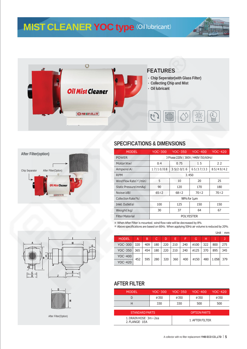### **MIST CLEANER YOC type** (Oillubricant)











After Filter(Option)

#### **SPECIFICATIONS & DIMENSIONS**

| <b>MODEL</b>                  | $YOC-300$                            | $YOC-350$   | $YOC-400$   | $YOC-420$   |  |  |  |  |  |
|-------------------------------|--------------------------------------|-------------|-------------|-------------|--|--|--|--|--|
| <b>POWER</b>                  | 3 Phase 220V / 380V / 440V (50/60Hz) |             |             |             |  |  |  |  |  |
| Motor(Kw)                     | 0.4                                  | 0.75<br>1.5 |             |             |  |  |  |  |  |
| Ampere(A)                     | 1.7/1.0/0.8                          | 3.5/2.0/1.6 | 6.5/3.7/3.3 | 8.5/4.9/4.2 |  |  |  |  |  |
| <b>RPM</b>                    | 3.450                                |             |             |             |  |  |  |  |  |
| Wind Flow Rate(m'/min)        | 5<br>10                              |             | 20          | 25          |  |  |  |  |  |
| Static Pressure(mmAg)         | 90                                   | 120         | 170         | 180         |  |  |  |  |  |
| Noise(dB)                     | $65\pm2$                             | $68 \pm 2$  | $70 + 2$    | $70\pm2$    |  |  |  |  |  |
| Collection Rate(%)            | $98%$ for $1µm$                      |             |             |             |  |  |  |  |  |
| Inlet. Outlet $(\varnothing)$ | 100                                  | 125         | 150         | 150         |  |  |  |  |  |
| Weight(kq)                    | 30                                   | 37          | 64          | 67          |  |  |  |  |  |
| <b>Filter Material</b>        | <b>POLYESTER</b>                     |             |             |             |  |  |  |  |  |

※ When After Filter is mounted, wind flow rate will be decreased by 8%

※ Above specifications are based on 60Hz, When applying 50Hz air volume is reduced by 20%.

| Unit: $mm$   |     |     |     |     |     |     |      |     |       |     |
|--------------|-----|-----|-----|-----|-----|-----|------|-----|-------|-----|
| <b>MODEL</b> | A   | B   | C.  | D   | Е   | F   | G    | н   |       |     |
| YOC-300      | 320 | 409 | 180 | 220 | 210 | 240 | ø100 | 322 | 800   | 275 |
| YOC-350      | 365 | 454 | 180 | 220 | 210 | 240 | ø125 | 370 | 895   | 345 |
| YOC-400      | 452 | 595 | 280 | 320 | 360 | 400 | ø150 | 480 | 1.058 | 379 |
| YOC-420      |     |     |     |     |     |     |      |     |       |     |

#### **AFTER FILTER**

| <b>MODEL</b>                              | $YOC-300$ | $YOC-350$ | $YOC-400$           | $YOC-420$ |  |  |  |  |
|-------------------------------------------|-----------|-----------|---------------------|-----------|--|--|--|--|
|                                           | Ø350      | Ø350      | Ø350                | Ø350      |  |  |  |  |
| Н                                         | 330       | 330       | 500                 | 500       |  |  |  |  |
|                                           |           |           |                     |           |  |  |  |  |
| <b>STANDARD PARTS</b>                     |           |           | <b>OPTION PARTS</b> |           |  |  |  |  |
| 1. DRAIN HOSE: 3m × 2ea<br>2. FLANGE: 1EA |           |           | 1. AFTER FILTER     |           |  |  |  |  |